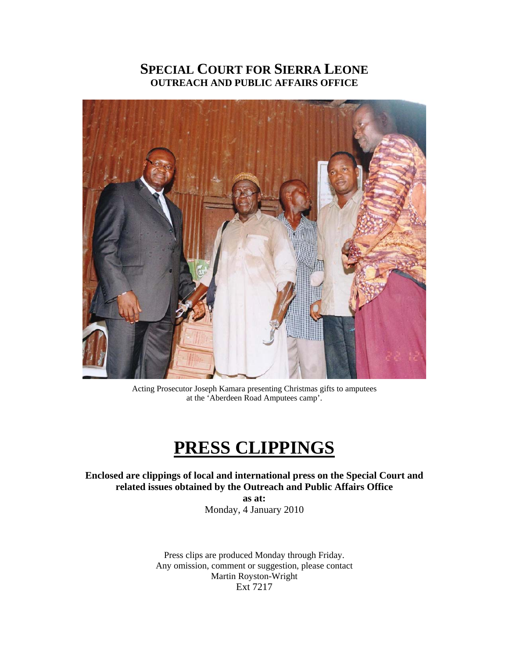# **SPECIAL COURT FOR SIERRA LEONE OUTREACH AND PUBLIC AFFAIRS OFFICE**



Acting Prosecutor Joseph Kamara presenting Christmas gifts to amputees at the 'Aberdeen Road Amputees camp'.

# **PRESS CLIPPINGS**

**Enclosed are clippings of local and international press on the Special Court and related issues obtained by the Outreach and Public Affairs Office** 

**as at:**  Monday, 4 January 2010

Press clips are produced Monday through Friday. Any omission, comment or suggestion, please contact Martin Royston-Wright Ext 7217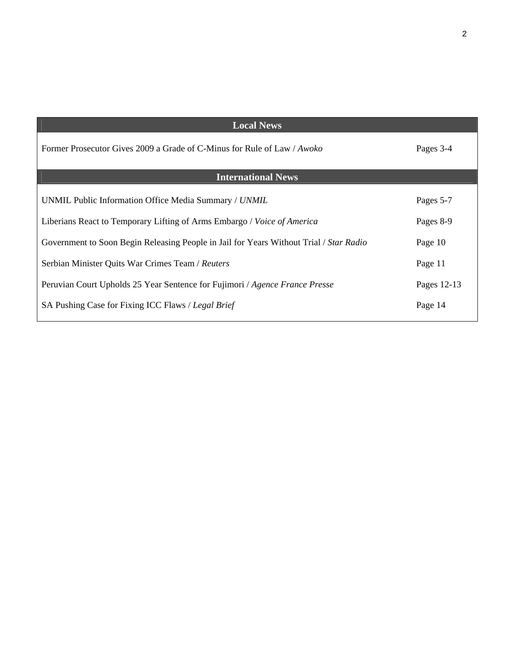| <b>Local News</b>                                                                      |             |
|----------------------------------------------------------------------------------------|-------------|
| Former Prosecutor Gives 2009 a Grade of C-Minus for Rule of Law / Awoko                | Pages 3-4   |
| <b>International News</b>                                                              |             |
| UNMIL Public Information Office Media Summary / UNMIL                                  | Pages 5-7   |
| Liberians React to Temporary Lifting of Arms Embargo / Voice of America                | Pages 8-9   |
| Government to Soon Begin Releasing People in Jail for Years Without Trial / Star Radio | Page 10     |
| Serbian Minister Quits War Crimes Team / Reuters                                       | Page 11     |
| Peruvian Court Upholds 25 Year Sentence for Fujimori / Agence France Presse            | Pages 12-13 |
| SA Pushing Case for Fixing ICC Flaws / Legal Brief                                     | Page 14     |

2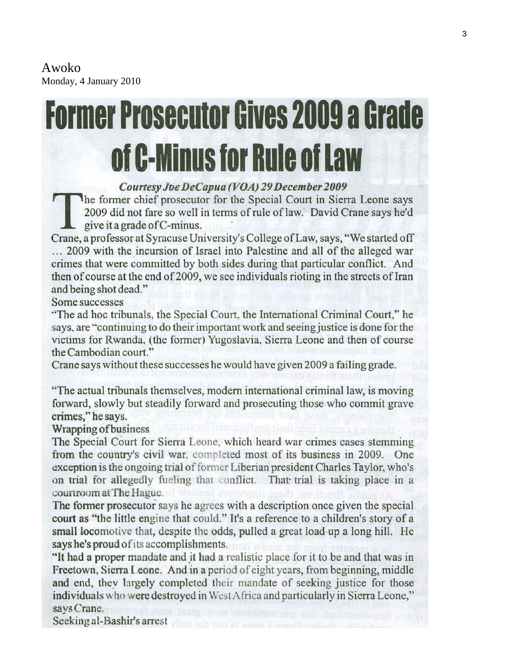Awoko Monday, 4 January 2010

# **Former Prosecutor Gives 2009 a Grade** of C-Minus for Rule of Law

# Courtesy Joe DeCapua (VOA) 29 December 2009

The former chief prosecutor for the Special Court in Sierra Leone says 2009 did not fare so well in terms of rule of law. David Crane says he'd give it a grade of C-minus.

Crane, a professor at Syracuse University's College of Law, says, "We started off ... 2009 with the incursion of Israel into Palestine and all of the alleged war crimes that were committed by both sides during that particular conflict. And then of course at the end of 2009, we see individuals rioting in the streets of Iran and being shot dead."

Some successes

"The ad hoc tribunals, the Special Court, the International Criminal Court," he says, are "continuing to do their important work and seeing justice is done for the victims for Rwanda, (the former) Yugoslavia, Sierra Leone and then of course the Cambodian court."

Crane says without these successes he would have given 2009 a failing grade.

"The actual tribunals themselves, modern international criminal law, is moving forward, slowly but steadily forward and prosecuting those who commit grave crimes," he says.

Wrapping of business

The Special Court for Sierra Leone, which heard war crimes cases stemming from the country's civil war, completed most of its business in 2009. One exception is the ongoing trial of former Liberian president Charles Taylor, who's on trial for allegedly fueling that conflict. That trial is taking place in a courtroom at The Hague.

The former prosecutor says he agrees with a description once given the special court as "the little engine that could." It's a reference to a children's story of a small locomotive that, despite the odds, pulled a great load up a long hill. He says he's proud of its accomplishments.

"It had a proper mandate and it had a realistic place for it to be and that was in Freetown, Sierra Leone. And in a period of eight years, from beginning, middle and end, they largely completed their mandate of seeking justice for those individuals who were destroved in West Africa and particularly in Sierra Leone," says Crane.

Seeking al-Bashir's arrest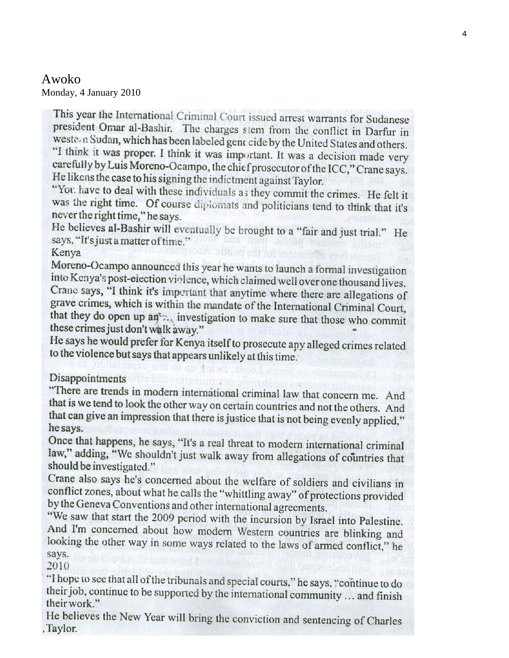# Awoko Monday, 4 January 2010

This year the International Criminal Court issued arrest warrants for Sudanese president Omar al-Bashir. The charges stem from the conflict in Darfur in western Sudan, which has been labeled genc cide by the United States and others. "I think it was proper. I think it was important. It was a decision made very carefully by Luis Moreno-Ocampo, the chief prosecutor of the ICC," Crane says. He likens the case to his signing the indictment against Taylor.

"You have to deal with these individuals as they commit the crimes. He felt it was the right time. Of course diplomats and politicians tend to think that it's never the right time," he says.

He believes al-Bashir will eventually be brought to a "fair and just trial." He says, "It's just a matter of time."

Kenya

Moreno-Ocampo announced this year he wants to launch a formal investigation into Kenya's post-election violence, which claimed well over one thousand lives. Crane says, "I think it's important that anytime where there are allegations of grave crimes, which is within the mandate of the International Criminal Court, that they do open up an<sup>t</sup> investigation to make sure that those who commit these crimes just don't walk away."

He says he would prefer for Kenya itself to prosecute any alleged crimes related to the violence but says that appears unlikely at this time.

Disappointments

"There are trends in modern international criminal law that concern me. And that is we tend to look the other way on certain countries and not the others. And that can give an impression that there is justice that is not being evenly applied," he says.

Once that happens, he says, "It's a real threat to modern international criminal law," adding, "We shouldn't just walk away from allegations of countries that should be investigated."

Crane also says he's concerned about the welfare of soldiers and civilians in conflict zones, about what he calls the "whittling away" of protections provided by the Geneva Conventions and other international agreements.

"We saw that start the 2009 period with the incursion by Israel into Palestine. And I'm concerned about how modern Western countries are blinking and looking the other way in some ways related to the laws of armed conflict," he says.

2010

"I hope to see that all of the tribunals and special courts," he says, "continue to do their job, continue to be supported by the international community ... and finish their work."

He believes the New Year will bring the conviction and sentencing of Charles , Taylor.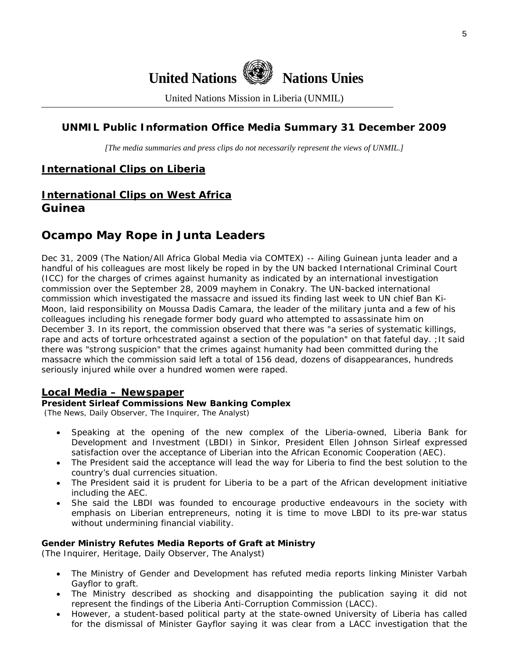

United Nations Mission in Liberia (UNMIL)

# **UNMIL Public Information Office Media Summary 31 December 2009**

*[The media summaries and press clips do not necessarily represent the views of UNMIL.]* 

# **International Clips on Liberia**

# **International Clips on West Africa Guinea**

# **Ocampo May Rope in Junta Leaders**

Dec 31, 2009 (The Nation/All Africa Global Media via COMTEX) -- Ailing Guinean junta leader and a handful of his colleagues are most likely be roped in by the UN backed International Criminal Court (ICC) for the charges of crimes against humanity as indicated by an international investigation commission over the September 28, 2009 mayhem in Conakry. The UN-backed international commission which investigated the massacre and issued its finding last week to UN chief Ban Ki-Moon, laid responsibility on Moussa Dadis Camara, the leader of the military junta and a few of his colleagues including his renegade former body guard who attempted to assassinate him on December 3. In its report, the commission observed that there was "a series of systematic killings, rape and acts of torture orhcestrated against a section of the population" on that fateful day. ;It said there was "strong suspicion" that the crimes against humanity had been committed during the massacre which the commission said left a total of 156 dead, dozens of disappearances, hundreds seriously injured while over a hundred women were raped.

#### **Local Media – Newspaper**

#### **President Sirleaf Commissions New Banking Complex**

(The News, Daily Observer, The Inquirer, The Analyst)

- Speaking at the opening of the new complex of the Liberia-owned, Liberia Bank for Development and Investment (LBDI) in Sinkor, President Ellen Johnson Sirleaf expressed satisfaction over the acceptance of Liberian into the African Economic Cooperation (AEC).
- The President said the acceptance will lead the way for Liberia to find the best solution to the country's dual currencies situation.
- The President said it is prudent for Liberia to be a part of the African development initiative including the AEC.
- She said the LBDI was founded to encourage productive endeavours in the society with emphasis on Liberian entrepreneurs, noting it is time to move LBDI to its pre-war status without undermining financial viability.

#### **Gender Ministry Refutes Media Reports of Graft at Ministry**

(The Inquirer, Heritage, Daily Observer, The Analyst)

- The Ministry of Gender and Development has refuted media reports linking Minister Varbah Gayflor to graft.
- The Ministry described as shocking and disappointing the publication saying it did not represent the findings of the Liberia Anti-Corruption Commission (LACC).
- However, a student-based political party at the state-owned University of Liberia has called for the dismissal of Minister Gayflor saying it was clear from a LACC investigation that the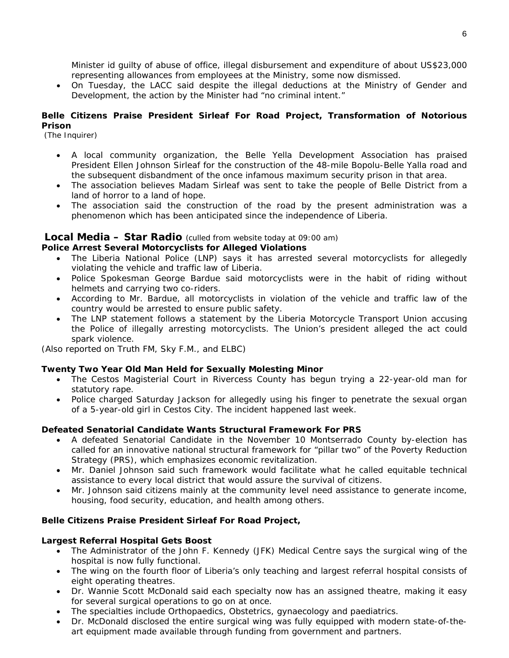Minister id guilty of abuse of office, illegal disbursement and expenditure of about US\$23,000 representing allowances from employees at the Ministry, some now dismissed.

• On Tuesday, the LACC said despite the illegal deductions at the Ministry of Gender and Development, the action by the Minister had "no criminal intent."

#### **Belle Citizens Praise President Sirleaf For Road Project, Transformation of Notorious Prison**

(The Inquirer)

- A local community organization, the Belle Yella Development Association has praised President Ellen Johnson Sirleaf for the construction of the 48-mile Bopolu-Belle Yalla road and the subsequent disbandment of the once infamous maximum security prison in that area.
- The association believes Madam Sirleaf was sent to take the people of Belle District from a land of horror to a land of hope.
- The association said the construction of the road by the present administration was a phenomenon which has been anticipated since the independence of Liberia.

# **Local Media – Star Radio** *(culled from website today at 09:00 am)*

#### **Police Arrest Several Motorcyclists for Alleged Violations**

- The Liberia National Police (LNP) says it has arrested several motorcyclists for allegedly violating the vehicle and traffic law of Liberia.
- Police Spokesman George Bardue said motorcyclists were in the habit of riding without helmets and carrying two co-riders.
- According to Mr. Bardue, all motorcyclists in violation of the vehicle and traffic law of the country would be arrested to ensure public safety.
- The LNP statement follows a statement by the Liberia Motorcycle Transport Union accusing the Police of illegally arresting motorcyclists. The Union's president alleged the act could spark violence.

*(Also reported on Truth FM, Sky F.M., and ELBC)*

#### **Twenty Two Year Old Man Held for Sexually Molesting Minor**

- The Cestos Magisterial Court in Rivercess County has begun trying a 22-year-old man for statutory rape.
- Police charged Saturday Jackson for allegedly using his finger to penetrate the sexual organ of a 5-year-old girl in Cestos City. The incident happened last week.

#### **Defeated Senatorial Candidate Wants Structural Framework For PRS**

- A defeated Senatorial Candidate in the November 10 Montserrado County by-election has called for an innovative national structural framework for "pillar two" of the Poverty Reduction Strategy (PRS), which emphasizes economic revitalization.
- Mr. Daniel Johnson said such framework would facilitate what he called equitable technical assistance to every local district that would assure the survival of citizens.
- Mr. Johnson said citizens mainly at the community level need assistance to generate income, housing, food security, education, and health among others.

#### **Belle Citizens Praise President Sirleaf For Road Project,**

#### **Largest Referral Hospital Gets Boost**

- The Administrator of the John F. Kennedy (JFK) Medical Centre says the surgical wing of the hospital is now fully functional.
- The wing on the fourth floor of Liberia's only teaching and largest referral hospital consists of eight operating theatres.
- Dr. Wannie Scott McDonald said each specialty now has an assigned theatre, making it easy for several surgical operations to go on at once.
- The specialties include Orthopaedics, Obstetrics, gynaecology and paediatrics.
- Dr. McDonald disclosed the entire surgical wing was fully equipped with modern state-of-theart equipment made available through funding from government and partners.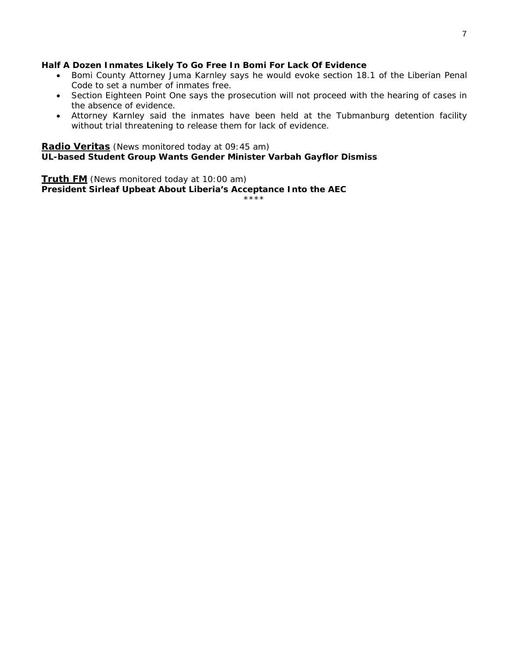#### **Half A Dozen Inmates Likely To Go Free In Bomi For Lack Of Evidence**

- Bomi County Attorney Juma Karnley says he would evoke section 18.1 of the Liberian Penal Code to set a number of inmates free.
- Section Eighteen Point One says the prosecution will not proceed with the hearing of cases in the absence of evidence.
- Attorney Karnley said the inmates have been held at the Tubmanburg detention facility without trial threatening to release them for lack of evidence.

#### **Radio Veritas** *(News monitored today at 09:45 am)* **UL-based Student Group Wants Gender Minister Varbah Gayflor Dismiss**

**Truth FM** *(News monitored today at 10:00 am)* **President Sirleaf Upbeat About Liberia's Acceptance Into the AEC** 

\*\*\*\*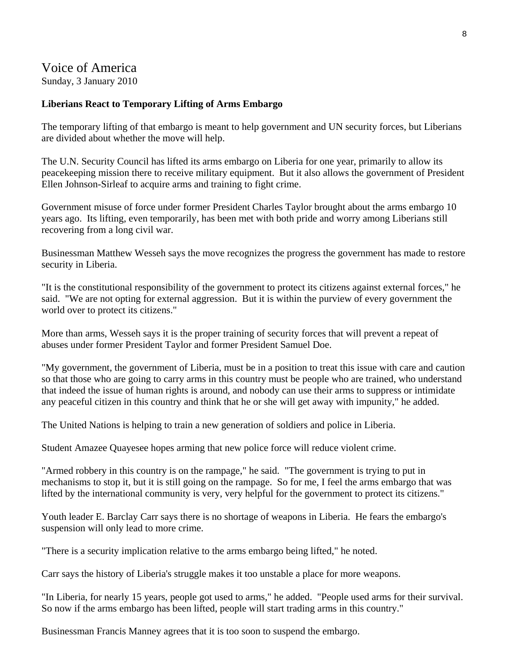# Voice of America

Sunday, 3 January 2010

### **Liberians React to Temporary Lifting of Arms Embargo**

The temporary lifting of that embargo is meant to help government and UN security forces, but Liberians are divided about whether the move will help.

The U.N. Security Council has lifted its arms embargo on Liberia for one year, primarily to allow its peacekeeping mission there to receive military equipment. But it also allows the government of President Ellen Johnson-Sirleaf to acquire arms and training to fight crime.

Government misuse of force under former President Charles Taylor brought about the arms embargo 10 years ago. Its lifting, even temporarily, has been met with both pride and worry among Liberians still recovering from a long civil war.

Businessman Matthew Wesseh says the move recognizes the progress the government has made to restore security in Liberia.

"It is the constitutional responsibility of the government to protect its citizens against external forces," he said. "We are not opting for external aggression. But it is within the purview of every government the world over to protect its citizens."

More than arms, Wesseh says it is the proper training of security forces that will prevent a repeat of abuses under former President Taylor and former President Samuel Doe.

"My government, the government of Liberia, must be in a position to treat this issue with care and caution so that those who are going to carry arms in this country must be people who are trained, who understand that indeed the issue of human rights is around, and nobody can use their arms to suppress or intimidate any peaceful citizen in this country and think that he or she will get away with impunity," he added.

The United Nations is helping to train a new generation of soldiers and police in Liberia.

Student Amazee Quayesee hopes arming that new police force will reduce violent crime.

"Armed robbery in this country is on the rampage," he said. "The government is trying to put in mechanisms to stop it, but it is still going on the rampage. So for me, I feel the arms embargo that was lifted by the international community is very, very helpful for the government to protect its citizens."

Youth leader E. Barclay Carr says there is no shortage of weapons in Liberia. He fears the embargo's suspension will only lead to more crime.

"There is a security implication relative to the arms embargo being lifted," he noted.

Carr says the history of Liberia's struggle makes it too unstable a place for more weapons.

"In Liberia, for nearly 15 years, people got used to arms," he added. "People used arms for their survival. So now if the arms embargo has been lifted, people will start trading arms in this country."

Businessman Francis Manney agrees that it is too soon to suspend the embargo.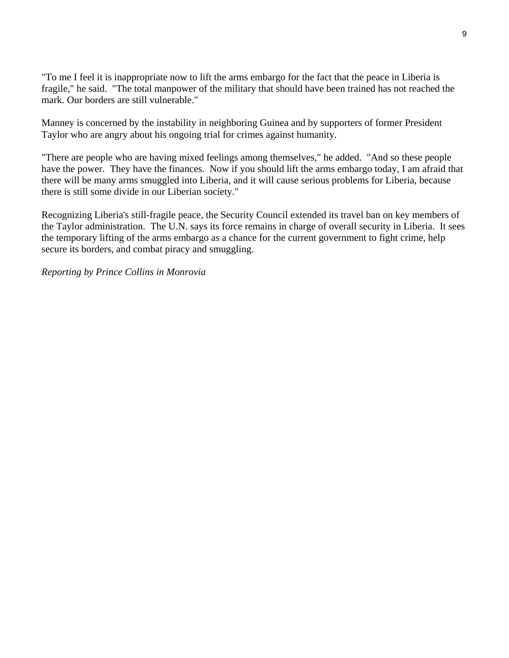"To me I feel it is inappropriate now to lift the arms embargo for the fact that the peace in Liberia is fragile," he said. "The total manpower of the military that should have been trained has not reached the mark. Our borders are still vulnerable."

Manney is concerned by the instability in neighboring Guinea and by supporters of former President Taylor who are angry about his ongoing trial for crimes against humanity.

"There are people who are having mixed feelings among themselves," he added. "And so these people have the power. They have the finances. Now if you should lift the arms embargo today, I am afraid that there will be many arms smuggled into Liberia, and it will cause serious problems for Liberia, because there is still some divide in our Liberian society."

Recognizing Liberia's still-fragile peace, the Security Council extended its travel ban on key members of the Taylor administration. The U.N. says its force remains in charge of overall security in Liberia. It sees the temporary lifting of the arms embargo as a chance for the current government to fight crime, help secure its borders, and combat piracy and smuggling.

*Reporting by Prince Collins in Monrovia*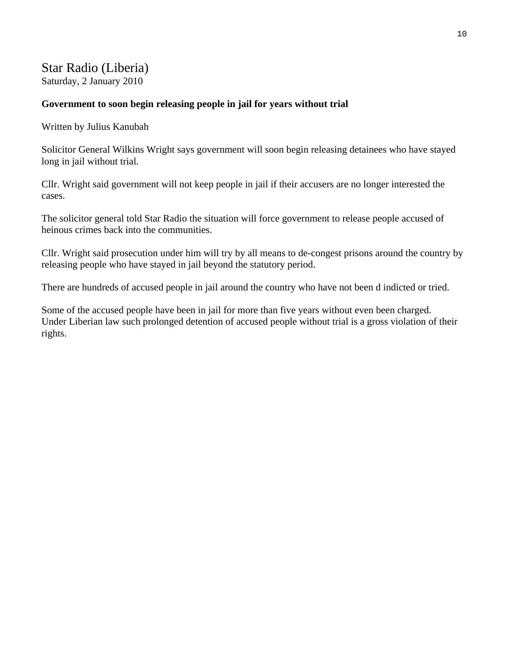# Star Radio (Liberia)

Saturday, 2 January 2010

# **Government to soon begin releasing people in jail for years without trial**

Written by Julius Kanubah

Solicitor General Wilkins Wright says government will soon begin releasing detainees who have stayed long in jail without trial.

Cllr. Wright said government will not keep people in jail if their accusers are no longer interested the cases.

The solicitor general told Star Radio the situation will force government to release people accused of heinous crimes back into the communities.

Cllr. Wright said prosecution under him will try by all means to de-congest prisons around the country by releasing people who have stayed in jail beyond the statutory period.

There are hundreds of accused people in jail around the country who have not been d indicted or tried.

Some of the accused people have been in jail for more than five years without even been charged. Under Liberian law such prolonged detention of accused people without trial is a gross violation of their rights.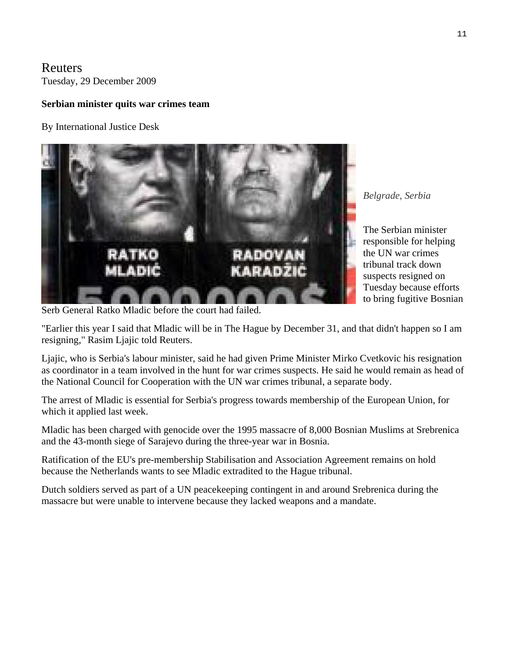Reuters Tuesday, 29 December 2009

#### **Serbian minister quits war crimes team**

By International Justice Desk



*Belgrade, Serbia* 

The Serbian minister responsible for helping the UN war crimes tribunal track down suspects resigned on Tuesday because efforts to bring fugitive Bosnian

Serb General Ratko Mladic before the court had failed.

"Earlier this year I said that Mladic will be in The Hague by December 31, and that didn't happen so I am resigning," Rasim Ljajic told Reuters.

Ljajic, who is Serbia's labour minister, said he had given Prime Minister Mirko Cvetkovic his resignation as coordinator in a team involved in the hunt for war crimes suspects. He said he would remain as head of the National Council for Cooperation with the UN war crimes tribunal, a separate body.

The arrest of Mladic is essential for Serbia's progress towards membership of the European Union, for which it applied last week.

Mladic has been charged with genocide over the 1995 massacre of 8,000 Bosnian Muslims at Srebrenica and the 43-month siege of Sarajevo during the three-year war in Bosnia.

Ratification of the EU's pre-membership Stabilisation and Association Agreement remains on hold because the Netherlands wants to see Mladic extradited to the Hague tribunal.

Dutch soldiers served as part of a UN peacekeeping contingent in and around Srebrenica during the massacre but were unable to intervene because they lacked weapons and a mandate.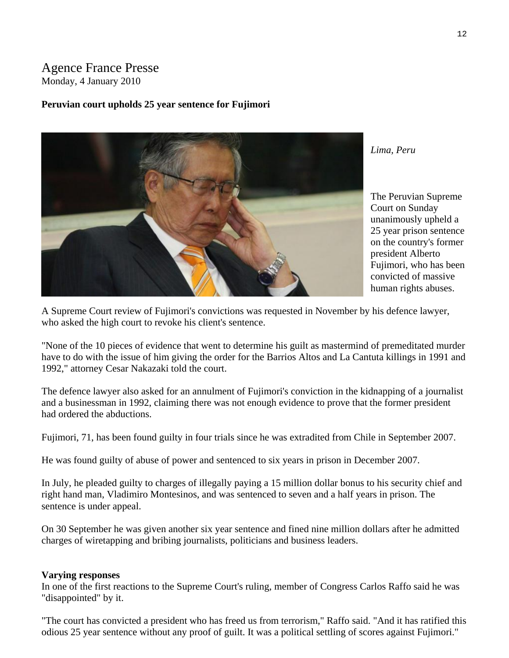# Agence France Presse Monday, 4 January 2010

#### **Peruvian court upholds 25 year sentence for Fujimori**



*Lima, Peru* 

The Peruvian Supreme Court on Sunday unanimously upheld a 25 year prison sentence on the country's former president Alberto Fujimori, who has been convicted of massive human rights abuses.

A Supreme Court review of Fujimori's convictions was requested in November by his defence lawyer, who asked the high court to revoke his client's sentence.

"None of the 10 pieces of evidence that went to determine his guilt as mastermind of premeditated murder have to do with the issue of him giving the order for the Barrios Altos and La Cantuta killings in 1991 and 1992," attorney Cesar Nakazaki told the court.

The defence lawyer also asked for an annulment of Fujimori's conviction in the kidnapping of a journalist and a businessman in 1992, claiming there was not enough evidence to prove that the former president had ordered the abductions.

Fujimori, 71, has been found guilty in four trials since he was extradited from Chile in September 2007.

He was found guilty of abuse of power and sentenced to six years in prison in December 2007.

In July, he pleaded guilty to charges of illegally paying a 15 million dollar bonus to his security chief and right hand man, Vladimiro Montesinos, and was sentenced to seven and a half years in prison. The sentence is under appeal.

On 30 September he was given another six year sentence and fined nine million dollars after he admitted charges of wiretapping and bribing journalists, politicians and business leaders.

#### **Varying responses**

In one of the first reactions to the Supreme Court's ruling, member of Congress Carlos Raffo said he was "disappointed" by it.

"The court has convicted a president who has freed us from terrorism," Raffo said. "And it has ratified this odious 25 year sentence without any proof of guilt. It was a political settling of scores against Fujimori."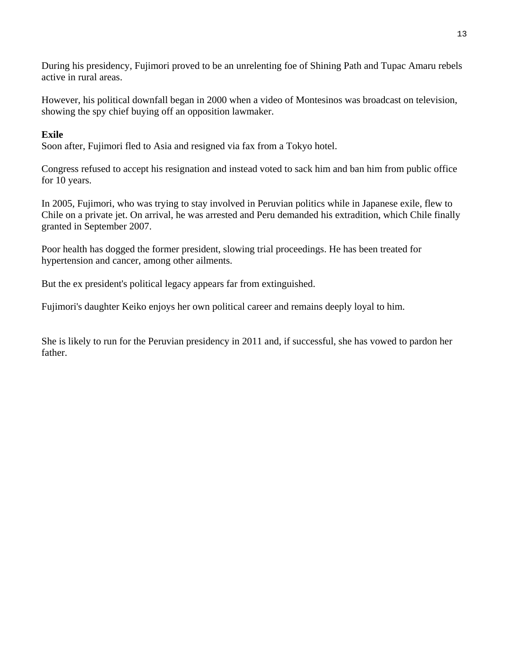During his presidency, Fujimori proved to be an unrelenting foe of Shining Path and Tupac Amaru rebels active in rural areas.

However, his political downfall began in 2000 when a video of Montesinos was broadcast on television, showing the spy chief buying off an opposition lawmaker.

#### **Exile**

Soon after, Fujimori fled to Asia and resigned via fax from a Tokyo hotel.

Congress refused to accept his resignation and instead voted to sack him and ban him from public office for 10 years.

In 2005, Fujimori, who was trying to stay involved in Peruvian politics while in Japanese exile, flew to Chile on a private jet. On arrival, he was arrested and Peru demanded his extradition, which Chile finally granted in September 2007.

Poor health has dogged the former president, slowing trial proceedings. He has been treated for hypertension and cancer, among other ailments.

But the ex president's political legacy appears far from extinguished.

Fujimori's daughter Keiko enjoys her own political career and remains deeply loyal to him.

She is likely to run for the Peruvian presidency in 2011 and, if successful, she has vowed to pardon her father.